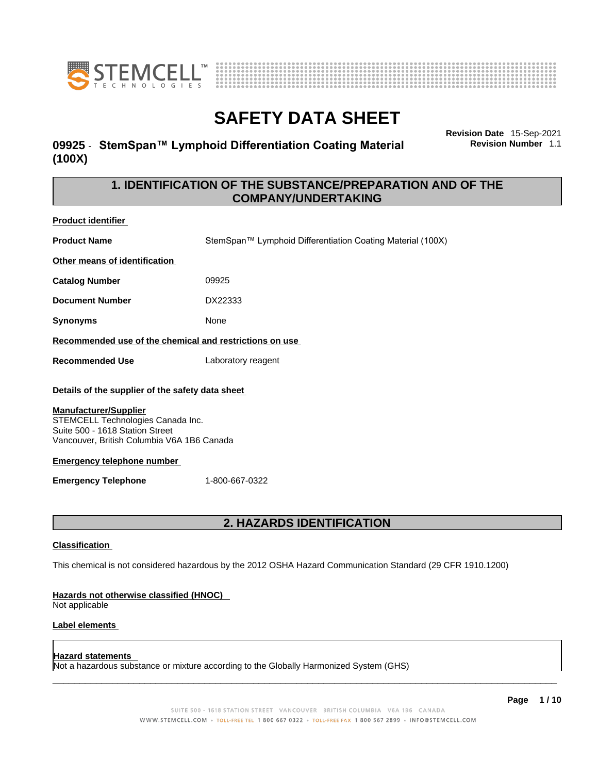

**Product identifier**



## **SAFETY DATA SHEET**

### **09925** - **StemSpan™ Lymphoid Differentiation Coating Material (100X)**

**Revision Date** 15-Sep-2021 **Revision Number** 1.1

### **1. IDENTIFICATION OF THE SUBSTANCE/PREPARATION AND OF THE COMPANY/UNDERTAKING**

| <b>Product Rentiller</b>                                                                                                                                                                               |                                                                                                             |
|--------------------------------------------------------------------------------------------------------------------------------------------------------------------------------------------------------|-------------------------------------------------------------------------------------------------------------|
| <b>Product Name</b>                                                                                                                                                                                    | StemSpan™ Lymphoid Differentiation Coating Material (100X)                                                  |
| Other means of identification                                                                                                                                                                          |                                                                                                             |
| <b>Catalog Number</b>                                                                                                                                                                                  | 09925                                                                                                       |
| <b>Document Number</b>                                                                                                                                                                                 | DX22333                                                                                                     |
| <b>Synonyms</b>                                                                                                                                                                                        | None                                                                                                        |
| Recommended use of the chemical and restrictions on use                                                                                                                                                |                                                                                                             |
| <b>Recommended Use</b>                                                                                                                                                                                 | Laboratory reagent                                                                                          |
| Details of the supplier of the safety data sheet<br><b>Manufacturer/Supplier</b><br>STEMCELL Technologies Canada Inc.<br>Suite 500 - 1618 Station Street<br>Vancouver, British Columbia V6A 1B6 Canada |                                                                                                             |
| <b>Emergency telephone number</b>                                                                                                                                                                      |                                                                                                             |
| <b>Emergency Telephone</b>                                                                                                                                                                             | 1-800-667-0322                                                                                              |
|                                                                                                                                                                                                        |                                                                                                             |
|                                                                                                                                                                                                        | <b>2. HAZARDS IDENTIFICATION</b>                                                                            |
| <b>Classification</b>                                                                                                                                                                                  |                                                                                                             |
|                                                                                                                                                                                                        | This chemical is not considered hazardous by the 2012 OSHA Hazard Communication Standard (29 CFR 1910.1200) |
| Hazards not otherwise classified (HNOC)<br>Not applicable                                                                                                                                              |                                                                                                             |
| <b>Label elements</b>                                                                                                                                                                                  |                                                                                                             |
|                                                                                                                                                                                                        |                                                                                                             |

**Hazard statements** Not a hazardous substance or mixture according to the Globally Harmonized System (GHS)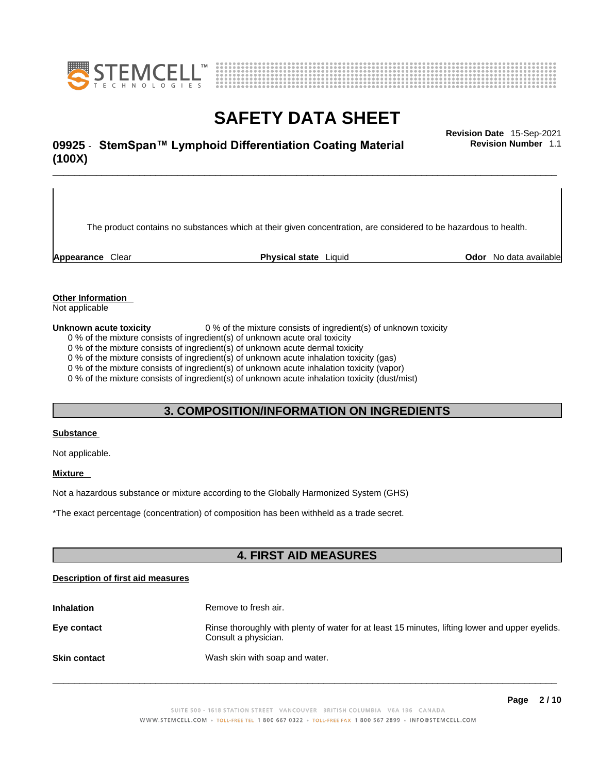



## \_\_\_\_\_\_\_\_\_\_\_\_\_\_\_\_\_\_\_\_\_\_\_\_\_\_\_\_\_\_\_\_\_\_\_\_\_\_\_\_\_\_\_\_\_\_\_\_\_\_\_\_\_\_\_\_\_\_\_\_\_\_\_\_\_\_\_\_\_\_\_\_\_\_\_\_\_\_\_\_\_\_\_\_\_\_\_\_\_\_\_\_\_ **Revision Date** 15-Sep-2021 **09925** - **StemSpan™ Lymphoid Differentiation Coating Material (100X)**

**Revision Number** 1.1

The product contains no substances which at their given concentration, are considered to be hazardous to health.

**Appearance** Clear **Physical state** Liquid **Odor** No data available

#### **Other Information**

Not applicable

**Unknown acute toxicity** 0 % of the mixture consists of ingredient(s) of unknown toxicity

0 % of the mixture consists of ingredient(s) of unknown acute oral toxicity

0 % of the mixture consists of ingredient(s) of unknown acute dermal toxicity

0 % of the mixture consists of ingredient(s) of unknown acute inhalation toxicity (gas)

0 % of the mixture consists of ingredient(s) of unknown acute inhalation toxicity (vapor)

0 % of the mixture consists of ingredient(s) of unknown acute inhalation toxicity (dust/mist)

### **3. COMPOSITION/INFORMATION ON INGREDIENTS**

#### **Substance**

Not applicable.

#### **Mixture**

Not a hazardous substance or mixture according to the Globally Harmonized System (GHS)

\*The exact percentage (concentration) ofcomposition has been withheld as a trade secret.

### **4. FIRST AID MEASURES**

#### **Description of first aid measures**

| <b>Inhalation</b>   | Remove to fresh air.                                                                                                    |
|---------------------|-------------------------------------------------------------------------------------------------------------------------|
| Eye contact         | Rinse thoroughly with plenty of water for at least 15 minutes, lifting lower and upper eyelids.<br>Consult a physician. |
| <b>Skin contact</b> | Wash skin with soap and water.                                                                                          |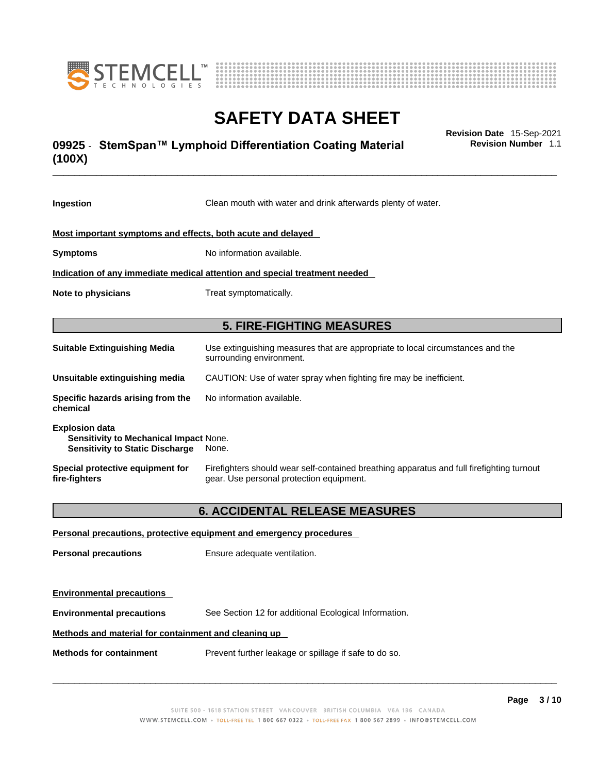



## \_\_\_\_\_\_\_\_\_\_\_\_\_\_\_\_\_\_\_\_\_\_\_\_\_\_\_\_\_\_\_\_\_\_\_\_\_\_\_\_\_\_\_\_\_\_\_\_\_\_\_\_\_\_\_\_\_\_\_\_\_\_\_\_\_\_\_\_\_\_\_\_\_\_\_\_\_\_\_\_\_\_\_\_\_\_\_\_\_\_\_\_\_ **Revision Date** 15-Sep-2021 **09925** - **StemSpan™ Lymphoid Differentiation Coating Material (100X)**

**Revision Number** 1.1

| Ingestion                                                                                                 | Clean mouth with water and drink afterwards plenty of water.                                                                          |  |
|-----------------------------------------------------------------------------------------------------------|---------------------------------------------------------------------------------------------------------------------------------------|--|
| Most important symptoms and effects, both acute and delayed                                               |                                                                                                                                       |  |
| <b>Symptoms</b>                                                                                           | No information available.                                                                                                             |  |
| Indication of any immediate medical attention and special treatment needed                                |                                                                                                                                       |  |
| Note to physicians                                                                                        | Treat symptomatically.                                                                                                                |  |
|                                                                                                           | <b>5. FIRE-FIGHTING MEASURES</b>                                                                                                      |  |
| <b>Suitable Extinguishing Media</b>                                                                       | Use extinguishing measures that are appropriate to local circumstances and the<br>surrounding environment.                            |  |
| Unsuitable extinguishing media                                                                            | CAUTION: Use of water spray when fighting fire may be inefficient.                                                                    |  |
| Specific hazards arising from the<br>chemical                                                             | No information available.                                                                                                             |  |
| <b>Explosion data</b><br>Sensitivity to Mechanical Impact None.<br><b>Sensitivity to Static Discharge</b> | None.                                                                                                                                 |  |
| Special protective equipment for<br>fire-fighters                                                         | Firefighters should wear self-contained breathing apparatus and full firefighting turnout<br>gear. Use personal protection equipment. |  |
|                                                                                                           | <b>6. ACCIDENTAL RELEASE MEASURES</b>                                                                                                 |  |
|                                                                                                           | Personal precautions, protective equipment and emergency procedures                                                                   |  |
| <b>Personal precautions</b>                                                                               | Ensure adequate ventilation.                                                                                                          |  |
| <b>Environmental precautions</b>                                                                          |                                                                                                                                       |  |
| <b>Environmental precautions</b>                                                                          | See Section 12 for additional Ecological Information.                                                                                 |  |

#### **Methods and material for containment and cleaning up**

**Methods for containment** Prevent further leakage or spillage if safe to do so.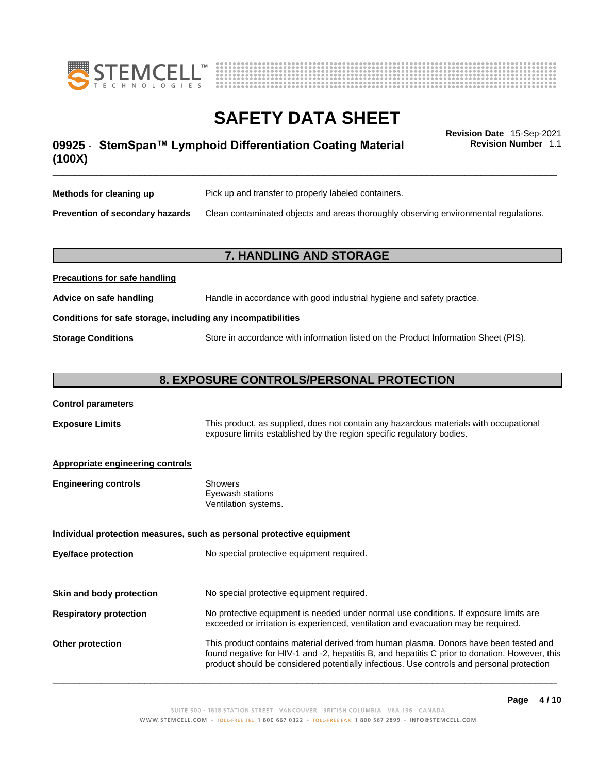



## \_\_\_\_\_\_\_\_\_\_\_\_\_\_\_\_\_\_\_\_\_\_\_\_\_\_\_\_\_\_\_\_\_\_\_\_\_\_\_\_\_\_\_\_\_\_\_\_\_\_\_\_\_\_\_\_\_\_\_\_\_\_\_\_\_\_\_\_\_\_\_\_\_\_\_\_\_\_\_\_\_\_\_\_\_\_\_\_\_\_\_\_\_ **Revision Date** 15-Sep-2021 **09925** - **StemSpan™ Lymphoid Differentiation Coating Material (100X)**

**Revision Number** 1.1

| Methods for cleaning up         | Pick up and transfer to properly labeled containers.                                 |
|---------------------------------|--------------------------------------------------------------------------------------|
| Prevention of secondary hazards | Clean contaminated objects and areas thoroughly observing environmental regulations. |

#### **7. HANDLING AND STORAGE**

| Advice on safe handling                                      | Handle in accordance with good industrial hygiene and safety practice.              |  |
|--------------------------------------------------------------|-------------------------------------------------------------------------------------|--|
| Conditions for safe storage, including any incompatibilities |                                                                                     |  |
| <b>Storage Conditions</b>                                    | Store in accordance with information listed on the Product Information Sheet (PIS). |  |

#### **8. EXPOSURE CONTROLS/PERSONAL PROTECTION**

#### **Control parameters**

**Precautions for safe handling**

**Exposure Limits** This product, as supplied, does not contain any hazardous materials with occupational exposure limits established by the region specific regulatory bodies.

#### **Appropriate engineering controls**

| <b>Engineering controls</b> | Showers              |
|-----------------------------|----------------------|
|                             | Eyewash stations     |
|                             | Ventilation systems. |

**Eye/face protection** No special protective equipment required.

**Individual protection measures, such as personal protective equipment**

**Skin and body protection** No special protective equipment required.

## **Respiratory protection** No protective equipment is needed under normal use conditions. If exposure limits are exceeded or irritation is experienced, ventilation and evacuation may be required.

**Other protection** This product contains material derived from human plasma. Donors have been tested and found negative for HIV-1 and -2, hepatitis B, and hepatitis C prior to donation. However, this product should be considered potentially infectious. Use controls and personal protection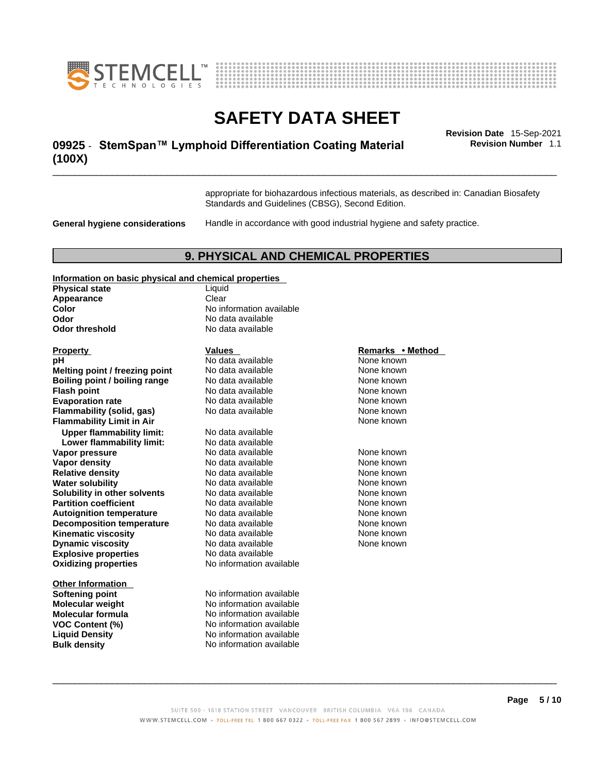



## \_\_\_\_\_\_\_\_\_\_\_\_\_\_\_\_\_\_\_\_\_\_\_\_\_\_\_\_\_\_\_\_\_\_\_\_\_\_\_\_\_\_\_\_\_\_\_\_\_\_\_\_\_\_\_\_\_\_\_\_\_\_\_\_\_\_\_\_\_\_\_\_\_\_\_\_\_\_\_\_\_\_\_\_\_\_\_\_\_\_\_\_\_ **Revision Date** 15-Sep-2021 **09925** - **StemSpan™ Lymphoid Differentiation Coating Material (100X)**

**Revision Number** 1.1

appropriate for biohazardous infectious materials, as described in: Canadian Biosafety Standards and Guidelines (CBSG), Second Edition.

**General hygiene considerations** Handle in accordance with good industrial hygiene and safety practice.

#### **9. PHYSICAL AND CHEMICAL PROPERTIES**

#### **Information on basic physical and chemical properties**

| <b>Physical state</b>                | Liquid             |
|--------------------------------------|--------------------|
| Appearance                           | Clear              |
| Color                                | No information ava |
| Odor                                 | No data available  |
| Odor threshold                       | No data available  |
| <b>Property</b>                      | Values             |
| рH                                   | No data available  |
| Melting point / freezing point       | No data available  |
| <b>Boiling point / boiling range</b> | No data available  |
| <b>Flash point</b>                   | No data available  |
| <b>Evaporation rate</b>              | No data available  |
| <b>Flammability (solid, gas)</b>     | No data available  |
| <b>Flammability Limit in Air</b>     |                    |
| <b>Upper flammability limit:</b>     | No data available  |
| Lower flammability limit:            | No data available  |
| Vapor pressure                       | No data available  |
| <b>Vapor density</b>                 | No data available  |
| <b>Relative density</b>              | No data available  |
| <b>Water solubility</b>              | No data available  |
| Solubility in other solvents         | No data available  |
| <b>Partition coefficient</b>         | No data available  |
| <b>Autoignition temperature</b>      | No data available  |
| <b>Decomposition temperature</b>     | No data available  |
| <b>Kinematic viscosity</b>           | No data available  |
| <b>Dynamic viscosity</b>             | No data available  |
| <b>Explosive properties</b>          | No data available  |
| <b>Oxidizing properties</b>          | No information ava |

**Other Information** 

**Liquid No information available Odor** No data available **No data available** 

**Explosive properties** No data available **Oxidizing properties** No information available No data available None known **No data available 1990 is compared to the compare None known<br>
<b>Mone known**<br>
None known **Roidata available 1996 Mone known<br>
<b>Roidata available None known**<br> **None known No data available Evaluation Reports** None known **Flammability (solid, gas)** No data available None known **No data available Lower flammability limit:** No data available **Vapora Available None known No data available None known None known None known None known None known None known** No data available **Relatively No data available None known No data available None known No data available None known Partition Partition Coefficient Coefficient Coefficient Coefficient Coefficient Coefficient Coefficient Coefficient Coefficient Coefficient Coefficient Coefficient Coefficient Coefficient C No data available None known No data available None known** No data available None known No data available None known

**Softening point** No information available **Molecular weight** No information available **Molecular formula** No information available **VOC Content (%)** No information available **Liquid Density** No information available **Bulk density No information available** 

#### **Property Values Remarks • Method**

**Flammability Limit in Air** None known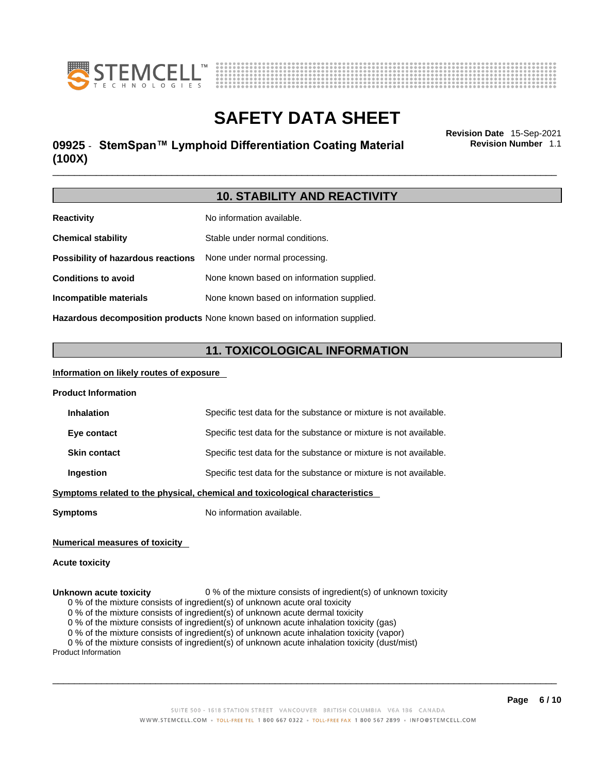



## \_\_\_\_\_\_\_\_\_\_\_\_\_\_\_\_\_\_\_\_\_\_\_\_\_\_\_\_\_\_\_\_\_\_\_\_\_\_\_\_\_\_\_\_\_\_\_\_\_\_\_\_\_\_\_\_\_\_\_\_\_\_\_\_\_\_\_\_\_\_\_\_\_\_\_\_\_\_\_\_\_\_\_\_\_\_\_\_\_\_\_\_\_ **Revision Date** 15-Sep-2021 **09925** - **StemSpan™ Lymphoid Differentiation Coating Material (100X)**

**Revision Number** 1.1

### **10. STABILITY AND REACTIVITY**

| <b>Reactivity</b>                                                       | No information available.                                                  |
|-------------------------------------------------------------------------|----------------------------------------------------------------------------|
| <b>Chemical stability</b>                                               | Stable under normal conditions.                                            |
| <b>Possibility of hazardous reactions</b> None under normal processing. |                                                                            |
| <b>Conditions to avoid</b>                                              | None known based on information supplied.                                  |
| Incompatible materials                                                  | None known based on information supplied.                                  |
|                                                                         | Hazardous decomposition products None known based on information supplied. |

## **11. TOXICOLOGICAL INFORMATION**

#### **Information on likely routes of exposure**

| <b>Product Information</b>                                                   |                                                                   |  |
|------------------------------------------------------------------------------|-------------------------------------------------------------------|--|
| <b>Inhalation</b>                                                            | Specific test data for the substance or mixture is not available. |  |
| Eye contact                                                                  | Specific test data for the substance or mixture is not available. |  |
| <b>Skin contact</b>                                                          | Specific test data for the substance or mixture is not available. |  |
| Ingestion                                                                    | Specific test data for the substance or mixture is not available. |  |
| Symptoms related to the physical, chemical and toxicological characteristics |                                                                   |  |

**Symptoms** No information available.

#### **Numerical measures of toxicity**

#### **Acute toxicity**

#### **Unknown acute toxicity** 0 % of the mixture consists of ingredient(s) of unknown toxicity

0 % of the mixture consists of ingredient(s) of unknown acute oral toxicity

0 % of the mixture consists of ingredient(s) of unknown acute dermal toxicity

0 % of the mixture consists of ingredient(s) of unknown acute inhalation toxicity (gas)

0 % of the mixture consists of ingredient(s) of unknown acute inhalation toxicity (vapor)

0 % of the mixture consists of ingredient(s) of unknown acute inhalation toxicity (dust/mist)

Product Information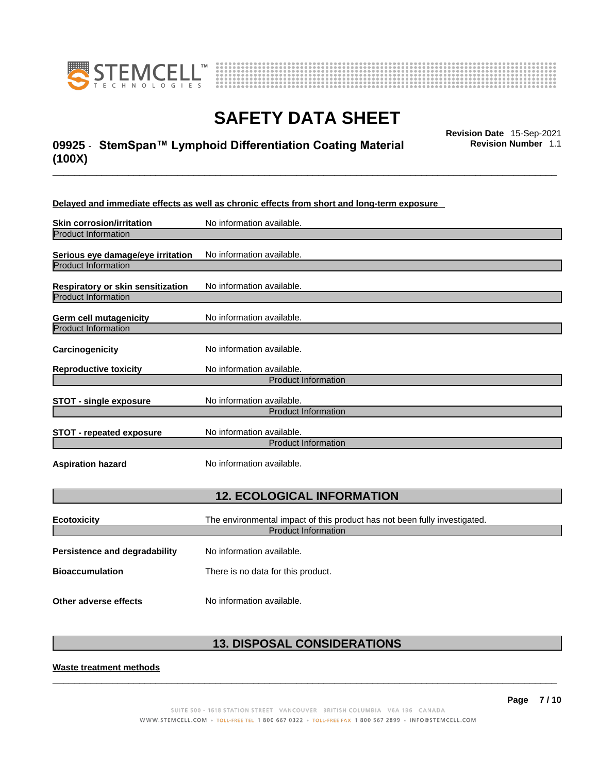



## \_\_\_\_\_\_\_\_\_\_\_\_\_\_\_\_\_\_\_\_\_\_\_\_\_\_\_\_\_\_\_\_\_\_\_\_\_\_\_\_\_\_\_\_\_\_\_\_\_\_\_\_\_\_\_\_\_\_\_\_\_\_\_\_\_\_\_\_\_\_\_\_\_\_\_\_\_\_\_\_\_\_\_\_\_\_\_\_\_\_\_\_\_ **Revision Date** 15-Sep-2021 **09925** - **StemSpan™ Lymphoid Differentiation Coating Material (100X)**

**Revision Number** 1.1

#### **Delayed and immediate effects as well as chronic effects from short and long-term exposure**

| <b>Skin corrosion/irritation</b>                                | No information available.                                                 |  |
|-----------------------------------------------------------------|---------------------------------------------------------------------------|--|
| <b>Product Information</b>                                      |                                                                           |  |
| Serious eye damage/eye irritation<br><b>Product Information</b> | No information available.                                                 |  |
| Respiratory or skin sensitization<br>Product Information        | No information available.                                                 |  |
| <b>Germ cell mutagenicity</b>                                   | No information available.                                                 |  |
| <b>Product Information</b>                                      |                                                                           |  |
| Carcinogenicity                                                 | No information available.                                                 |  |
| <b>Reproductive toxicity</b>                                    | No information available.<br><b>Product Information</b>                   |  |
|                                                                 |                                                                           |  |
| <b>STOT - single exposure</b>                                   | No information available.                                                 |  |
|                                                                 | <b>Product Information</b>                                                |  |
| <b>STOT - repeated exposure</b>                                 | No information available.                                                 |  |
|                                                                 | <b>Product Information</b>                                                |  |
| <b>Aspiration hazard</b>                                        | No information available.                                                 |  |
|                                                                 |                                                                           |  |
| <b>12. ECOLOGICAL INFORMATION</b>                               |                                                                           |  |
| <b>Ecotoxicity</b>                                              | The environmental impact of this product has not been fully investigated. |  |
|                                                                 | <b>Product Information</b>                                                |  |
| Persistence and degradability                                   | No information available.                                                 |  |

**Bioaccumulation** There is no data for this product.

**Other adverse effects** No information available.

### **13. DISPOSAL CONSIDERATIONS**

 $\_$  ,  $\_$  ,  $\_$  ,  $\_$  ,  $\_$  ,  $\_$  ,  $\_$  ,  $\_$  ,  $\_$  ,  $\_$  ,  $\_$  ,  $\_$  ,  $\_$  ,  $\_$  ,  $\_$  ,  $\_$  ,  $\_$  ,  $\_$  ,  $\_$  ,  $\_$  ,  $\_$  ,  $\_$  ,  $\_$  ,  $\_$  ,  $\_$  ,  $\_$  ,  $\_$  ,  $\_$  ,  $\_$  ,  $\_$  ,  $\_$  ,  $\_$  ,  $\_$  ,  $\_$  ,  $\_$  ,  $\_$  ,  $\_$  ,

#### **Waste treatment methods**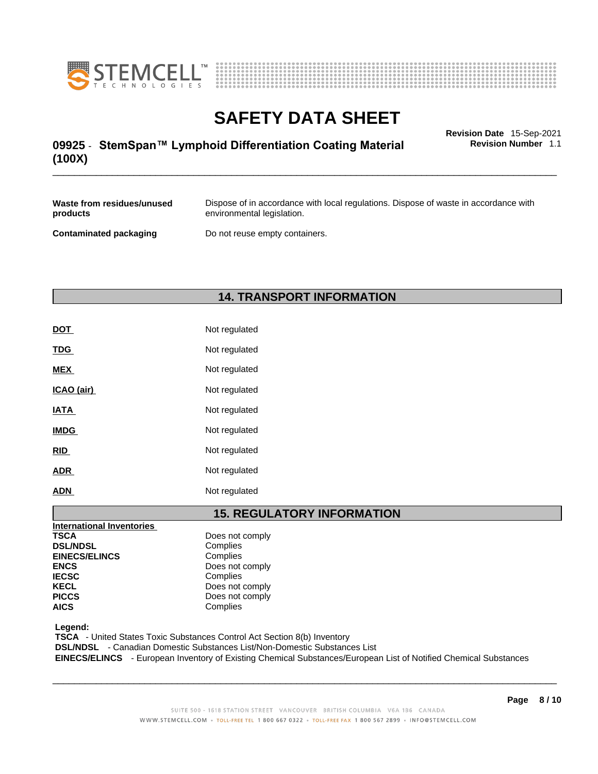



## \_\_\_\_\_\_\_\_\_\_\_\_\_\_\_\_\_\_\_\_\_\_\_\_\_\_\_\_\_\_\_\_\_\_\_\_\_\_\_\_\_\_\_\_\_\_\_\_\_\_\_\_\_\_\_\_\_\_\_\_\_\_\_\_\_\_\_\_\_\_\_\_\_\_\_\_\_\_\_\_\_\_\_\_\_\_\_\_\_\_\_\_\_ **Revision Date** 15-Sep-2021 **09925** - **StemSpan™ Lymphoid Differentiation Coating Material (100X)**

**Revision Number** 1.1

| Waste from residues/unused    | Dispose of in accordance with local regulations. Dispose of waste in accordance with |
|-------------------------------|--------------------------------------------------------------------------------------|
| products                      | environmental legislation.                                                           |
| <b>Contaminated packaging</b> | Do not reuse empty containers.                                                       |

### **14. TRANSPORT INFORMATION**

| <b>DOT</b>  | Not regulated |
|-------------|---------------|
| <b>TDG</b>  | Not regulated |
| <b>MEX</b>  | Not regulated |
| ICAO (air)  | Not regulated |
| <b>IATA</b> | Not regulated |
| <b>IMDG</b> | Not regulated |
| <b>RID</b>  | Not regulated |
| <b>ADR</b>  | Not regulated |
| <b>ADN</b>  | Not regulated |

### **15. REGULATORY INFORMATION**

| <b>International Inventories</b> |                 |
|----------------------------------|-----------------|
| <b>TSCA</b>                      | Does not comply |
| <b>DSL/NDSL</b>                  | Complies        |
| <b>EINECS/ELINCS</b>             | Complies        |
| <b>ENCS</b>                      | Does not comply |
| <b>IECSC</b>                     | Complies        |
| <b>KECL</b>                      | Does not comply |
| <b>PICCS</b>                     | Does not comply |
| <b>AICS</b>                      | Complies        |
|                                  |                 |

 **Legend:** 

 **TSCA** - United States Toxic Substances Control Act Section 8(b) Inventory

 **DSL/NDSL** - Canadian Domestic Substances List/Non-Domestic Substances List

 **EINECS/ELINCS** - European Inventory of Existing Chemical Substances/European List of Notified Chemical Substances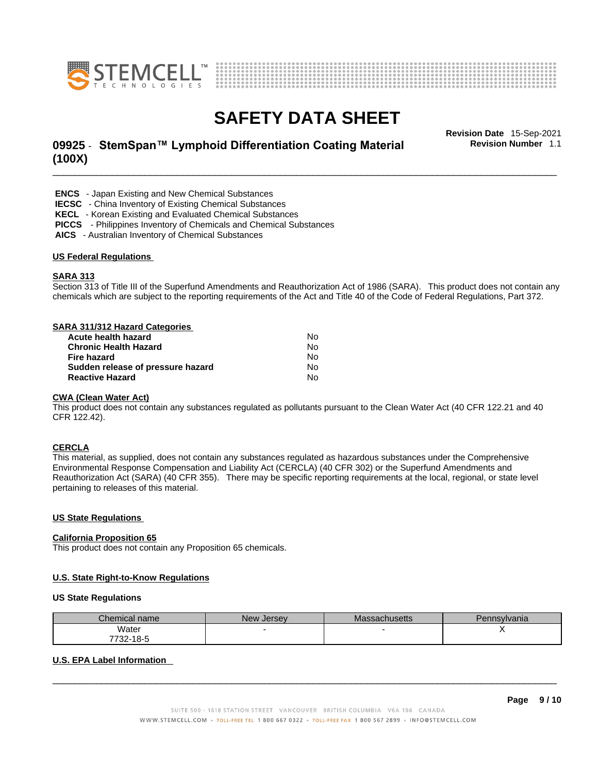



## \_\_\_\_\_\_\_\_\_\_\_\_\_\_\_\_\_\_\_\_\_\_\_\_\_\_\_\_\_\_\_\_\_\_\_\_\_\_\_\_\_\_\_\_\_\_\_\_\_\_\_\_\_\_\_\_\_\_\_\_\_\_\_\_\_\_\_\_\_\_\_\_\_\_\_\_\_\_\_\_\_\_\_\_\_\_\_\_\_\_\_\_\_ **Revision Date** 15-Sep-2021 **09925** - **StemSpan™ Lymphoid Differentiation Coating Material (100X)**

**Revision Number** 1.1

 **ENCS** - Japan Existing and New Chemical Substances

 **IECSC** - China Inventory of Existing Chemical Substances

 **KECL** - Korean Existing and Evaluated Chemical Substances

 **PICCS** - Philippines Inventory of Chemicals and Chemical Substances

 **AICS** - Australian Inventory of Chemical Substances

#### **US Federal Regulations**

#### **SARA 313**

Section 313 of Title III of the Superfund Amendments and Reauthorization Act of 1986 (SARA). This product does not contain any chemicals which are subject to the reporting requirements of the Act and Title 40 of the Code of Federal Regulations, Part 372.

#### **SARA 311/312 Hazard Categories**

| Acute health hazard               | No. |
|-----------------------------------|-----|
| <b>Chronic Health Hazard</b>      | No. |
| Fire hazard                       | N٥  |
| Sudden release of pressure hazard | No. |
| <b>Reactive Hazard</b>            | N٥  |

#### **CWA** (Clean Water Act)

This product does not contain any substances regulated as pollutants pursuant to the Clean Water Act (40 CFR 122.21 and 40 CFR 122.42).

#### **CERCLA**

This material, as supplied, does not contain any substances regulated as hazardous substances under the Comprehensive Environmental Response Compensation and Liability Act (CERCLA) (40 CFR 302) or the Superfund Amendments and Reauthorization Act (SARA) (40 CFR 355). There may be specific reporting requirements at the local, regional, or state level pertaining to releases of this material.

#### **US State Regulations**

#### **California Proposition 65**

This product does not contain any Proposition 65 chemicals.

#### **U.S. State Right-to-Know Regulations**

#### **US State Regulations**

| Chemical name    | New Jersev | Massachusetts | Pennsylvania |
|------------------|------------|---------------|--------------|
| Water            |            |               |              |
| 732-18-5<br>フフへへ |            |               |              |

#### **U.S. EPA Label Information**